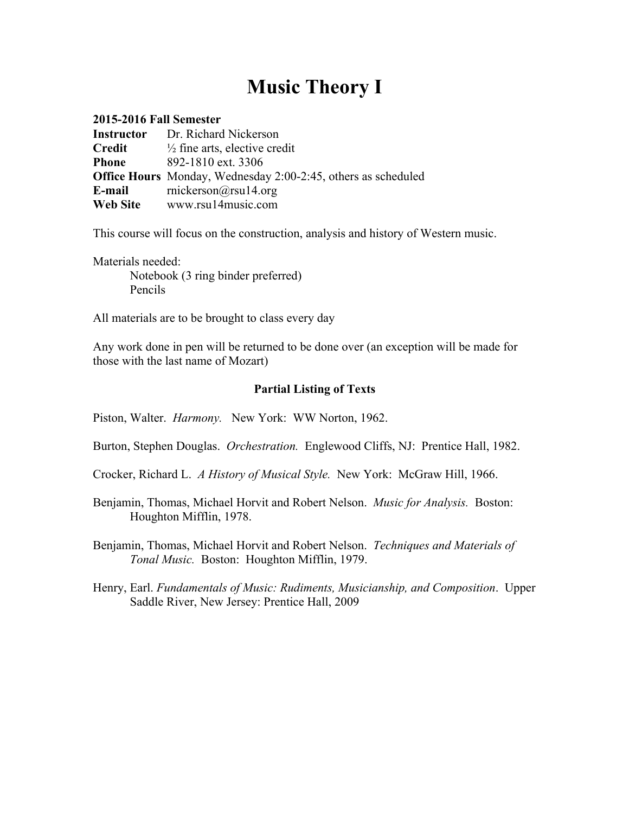# **Music Theory I**

| <b>2015-2016 Fall Semester</b> |                                                                      |
|--------------------------------|----------------------------------------------------------------------|
| <b>Instructor</b>              | Dr. Richard Nickerson                                                |
| Credit                         | $\frac{1}{2}$ fine arts, elective credit                             |
| <b>Phone</b>                   | 892-1810 ext. 3306                                                   |
|                                | <b>Office Hours</b> Monday, Wednesday 2:00-2:45, others as scheduled |
| E-mail                         | mickerson@rsu14.org                                                  |
| Web Site                       | www.rsu14music.com                                                   |

This course will focus on the construction, analysis and history of Western music.

Materials needed: Notebook (3 ring binder preferred) Pencils

All materials are to be brought to class every day

Any work done in pen will be returned to be done over (an exception will be made for those with the last name of Mozart)

#### **Partial Listing of Texts**

Piston, Walter. *Harmony.* New York: WW Norton, 1962.

Burton, Stephen Douglas. *Orchestration.* Englewood Cliffs, NJ: Prentice Hall, 1982.

Crocker, Richard L. *A History of Musical Style.* New York: McGraw Hill, 1966.

Benjamin, Thomas, Michael Horvit and Robert Nelson. *Music for Analysis.* Boston: Houghton Mifflin, 1978.

Benjamin, Thomas, Michael Horvit and Robert Nelson. *Techniques and Materials of Tonal Music.* Boston: Houghton Mifflin, 1979.

Henry, Earl. *Fundamentals of Music: Rudiments, Musicianship, and Composition*. Upper Saddle River, New Jersey: Prentice Hall, 2009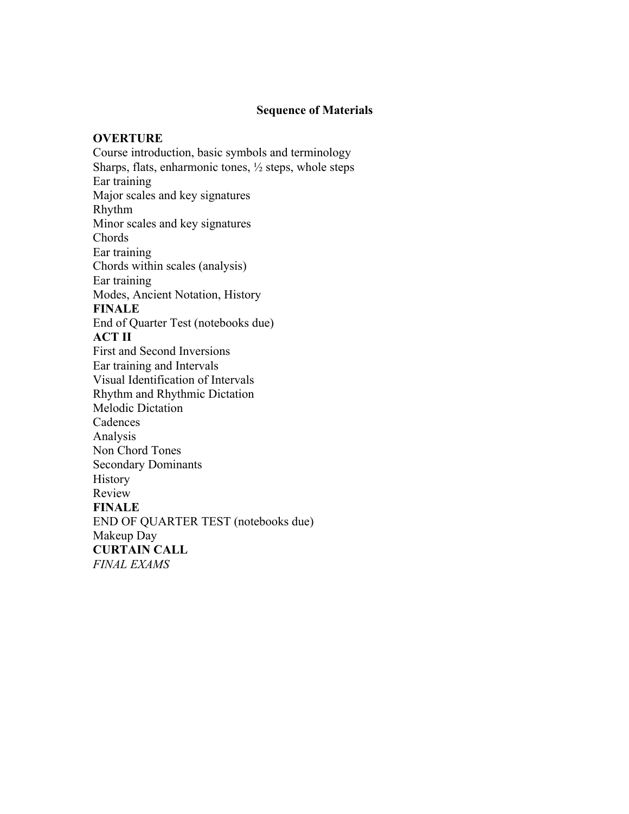#### **Sequence of Materials**

#### **OVERTURE**

Course introduction, basic symbols and terminology Sharps, flats, enharmonic tones, ½ steps, whole steps Ear training Major scales and key signatures Rhythm Minor scales and key signatures Chords Ear training Chords within scales (analysis) Ear training Modes, Ancient Notation, History **FINALE** End of Quarter Test (notebooks due) **ACT II** First and Second Inversions Ear training and Intervals Visual Identification of Intervals Rhythm and Rhythmic Dictation Melodic Dictation Cadences Analysis Non Chord Tones Secondary Dominants History Review **FINALE** END OF QUARTER TEST (notebooks due) Makeup Day **CURTAIN CALL** *FINAL EXAMS*